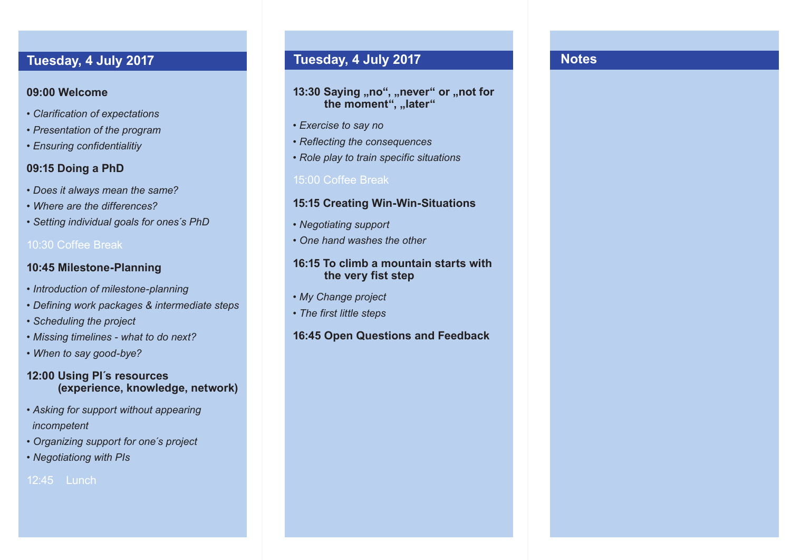#### **09:00 Welcome**

- Proportionen beibehalten *Clarification of expectations* Seitenberg von Special
- *Presentation of the program*
- *Ensuring confidentialitiy*

#### durchlassen (Stand kontrollieren - 2 Seite).<br>Durchlassen (Stand kontrollieren - 2 Seite). **09:15 Doing a PhD**

- Does it always mean the same?
- Where are the differences?
- Setting individual goals for ones's PhD

## 10:30 Coffee Break

# **10:45 Milestone-Planning**

- *Introduction of milestone-planning*
- *Defining work packages & intermediate steps*
- *Scheduling the project*
- *Missing timelines what to do next?*
- *When to say good-bye?*

### **12:00 Using PI´s resources (experience, knowledge, network)**

- *Asking for support without appearing incompetent*
- *Organizing support for one´s project*
- *Negotiationg with PIs*

### 12:45 Lunch

# **Tuesday, 4 July 2017 Tuesday, 4 July 2017 Notes**

#### 13:30 Saying "no", "never" or "not for the moment", "later"

- *Exercise to say no*
- *Reflecting the consequences*
- *Role play to train specific situations*

# 15:00 Coffee Break

# **15:15 Creating Win-Win-Situations**

- *Negotiating support*
- *One hand washes the other*

#### **16:15 To climb a mountain starts with the very fist step**

- *My Change project*
- *The first little steps*

# **16:45 Open Questions and Feedback**